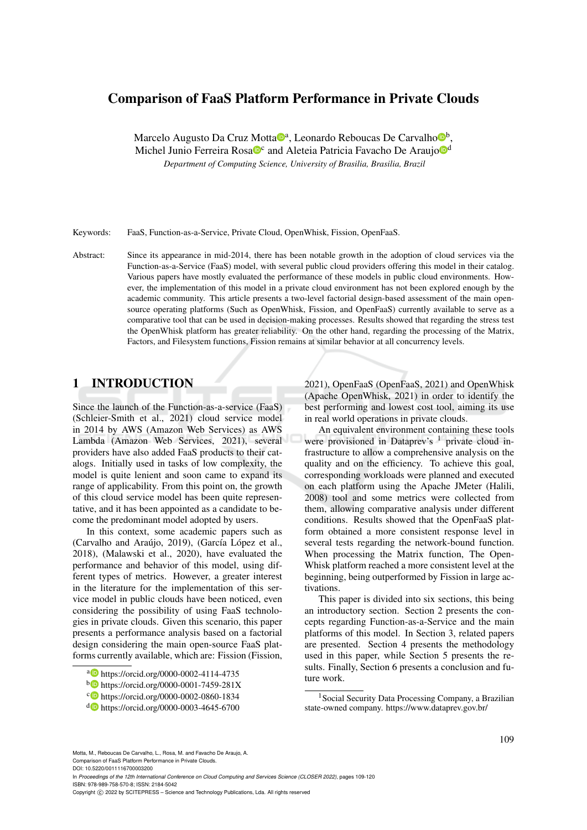# Comparison of FaaS Platform Performance in Private Clouds

Marcelo Augusto Da Cruz Motta®ª, Leonardo Reboucas De Carvalho®<sup>b</sup>, Michel Junio Ferreira Rosa<sup>nc</sup> and Aleteia Patricia Favacho De Araujo<sup>nd</sup>

*Department of Computing Science, University of Brasilia, Brasilia, Brazil*

Keywords: FaaS, Function-as-a-Service, Private Cloud, OpenWhisk, Fission, OpenFaaS.

Abstract: Since its appearance in mid-2014, there has been notable growth in the adoption of cloud services via the Function-as-a-Service (FaaS) model, with several public cloud providers offering this model in their catalog. Various papers have mostly evaluated the performance of these models in public cloud environments. However, the implementation of this model in a private cloud environment has not been explored enough by the academic community. This article presents a two-level factorial design-based assessment of the main opensource operating platforms (Such as OpenWhisk, Fission, and OpenFaaS) currently available to serve as a comparative tool that can be used in decision-making processes. Results showed that regarding the stress test the OpenWhisk platform has greater reliability. On the other hand, regarding the processing of the Matrix, Factors, and Filesystem functions, Fission remains at similar behavior at all concurrency levels.

# 1 INTRODUCTION

Since the launch of the Function-as-a-service (FaaS) (Schleier-Smith et al., 2021) cloud service model in 2014 by AWS (Amazon Web Services) as AWS Lambda (Amazon Web Services, 2021), several providers have also added FaaS products to their catalogs. Initially used in tasks of low complexity, the model is quite lenient and soon came to expand its range of applicability. From this point on, the growth of this cloud service model has been quite representative, and it has been appointed as a candidate to become the predominant model adopted by users.

In this context, some academic papers such as (Carvalho and Araújo, 2019), (García López et al., 2018), (Malawski et al., 2020), have evaluated the performance and behavior of this model, using different types of metrics. However, a greater interest in the literature for the implementation of this service model in public clouds have been noticed, even considering the possibility of using FaaS technologies in private clouds. Given this scenario, this paper presents a performance analysis based on a factorial design considering the main open-source FaaS platforms currently available, which are: Fission (Fission,

2021), OpenFaaS (OpenFaaS, 2021) and OpenWhisk (Apache OpenWhisk, 2021) in order to identify the best performing and lowest cost tool, aiming its use in real world operations in private clouds.

An equivalent environment containing these tools were provisioned in Dataprev's  $<sup>1</sup>$  private cloud in-</sup> frastructure to allow a comprehensive analysis on the quality and on the efficiency. To achieve this goal, corresponding workloads were planned and executed on each platform using the Apache JMeter (Halili, 2008) tool and some metrics were collected from them, allowing comparative analysis under different conditions. Results showed that the OpenFaaS platform obtained a more consistent response level in several tests regarding the network-bound function. When processing the Matrix function, The Open-Whisk platform reached a more consistent level at the beginning, being outperformed by Fission in large activations.

This paper is divided into six sections, this being an introductory section. Section 2 presents the concepts regarding Function-as-a-Service and the main platforms of this model. In Section 3, related papers are presented. Section 4 presents the methodology used in this paper, while Section 5 presents the results. Finally, Section 6 presents a conclusion and future work.

Motta, M., Reboucas De Carvalho, L., Rosa, M. and Favacho De Araujo, A. Comparison of FaaS Platform Performance in Private Clouds.

DOI: 10.5220/0011116700003200

In *Proceedings of the 12th International Conference on Cloud Computing and Services Science (CLOSER 2022)*, pages 109-120 ISBN: 978-989-758-570-8; ISSN: 2184-5042

Copyright © 2022 by SCITEPRESS - Science and Technology Publications, Lda. All rights reserved

<sup>a</sup> https://orcid.org/0000-0002-4114-4735

<sup>b</sup> https://orcid.org/0000-0001-7459-281X

c **b** https://orcid.org/0000-0002-0860-1834

<sup>d</sup> https://orcid.org/0000-0003-4645-6700

<sup>&</sup>lt;sup>1</sup> Social Security Data Processing Company, a Brazilian state-owned company. https://www.dataprev.gov.br/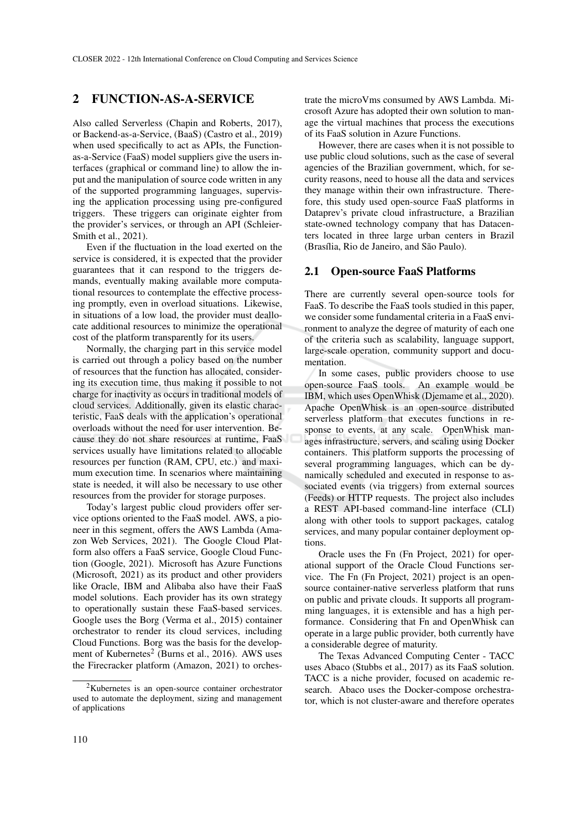## 2 FUNCTION-AS-A-SERVICE

Also called Serverless (Chapin and Roberts, 2017), or Backend-as-a-Service, (BaaS) (Castro et al., 2019) when used specifically to act as APIs, the Functionas-a-Service (FaaS) model suppliers give the users interfaces (graphical or command line) to allow the input and the manipulation of source code written in any of the supported programming languages, supervising the application processing using pre-configured triggers. These triggers can originate eighter from the provider's services, or through an API (Schleier-Smith et al., 2021).

Even if the fluctuation in the load exerted on the service is considered, it is expected that the provider guarantees that it can respond to the triggers demands, eventually making available more computational resources to contemplate the effective processing promptly, even in overload situations. Likewise, in situations of a low load, the provider must deallocate additional resources to minimize the operational cost of the platform transparently for its users.

Normally, the charging part in this service model is carried out through a policy based on the number of resources that the function has allocated, considering its execution time, thus making it possible to not charge for inactivity as occurs in traditional models of cloud services. Additionally, given its elastic characteristic, FaaS deals with the application's operational overloads without the need for user intervention. Because they do not share resources at runtime, FaaS services usually have limitations related to allocable resources per function (RAM, CPU, etc.) and maximum execution time. In scenarios where maintaining state is needed, it will also be necessary to use other resources from the provider for storage purposes.

Today's largest public cloud providers offer service options oriented to the FaaS model. AWS, a pioneer in this segment, offers the AWS Lambda (Amazon Web Services, 2021). The Google Cloud Platform also offers a FaaS service, Google Cloud Function (Google, 2021). Microsoft has Azure Functions (Microsoft, 2021) as its product and other providers like Oracle, IBM and Alibaba also have their FaaS model solutions. Each provider has its own strategy to operationally sustain these FaaS-based services. Google uses the Borg (Verma et al., 2015) container orchestrator to render its cloud services, including Cloud Functions. Borg was the basis for the development of Kubernetes<sup>2</sup> (Burns et al., 2016). AWS uses the Firecracker platform (Amazon, 2021) to orches-

trate the microVms consumed by AWS Lambda. Microsoft Azure has adopted their own solution to manage the virtual machines that process the executions of its FaaS solution in Azure Functions.

However, there are cases when it is not possible to use public cloud solutions, such as the case of several agencies of the Brazilian government, which, for security reasons, need to house all the data and services they manage within their own infrastructure. Therefore, this study used open-source FaaS platforms in Dataprev's private cloud infrastructure, a Brazilian state-owned technology company that has Datacenters located in three large urban centers in Brazil (Brasília, Rio de Janeiro, and São Paulo).

#### 2.1 Open-source FaaS Platforms

There are currently several open-source tools for FaaS. To describe the FaaS tools studied in this paper, we consider some fundamental criteria in a FaaS environment to analyze the degree of maturity of each one of the criteria such as scalability, language support, large-scale operation, community support and documentation.

In some cases, public providers choose to use open-source FaaS tools. An example would be IBM, which uses OpenWhisk (Djemame et al., 2020). Apache OpenWhisk is an open-source distributed serverless platform that executes functions in response to events, at any scale. OpenWhisk manages infrastructure, servers, and scaling using Docker containers. This platform supports the processing of several programming languages, which can be dynamically scheduled and executed in response to associated events (via triggers) from external sources (Feeds) or HTTP requests. The project also includes a REST API-based command-line interface (CLI) along with other tools to support packages, catalog services, and many popular container deployment options.

Oracle uses the Fn (Fn Project, 2021) for operational support of the Oracle Cloud Functions service. The Fn (Fn Project, 2021) project is an opensource container-native serverless platform that runs on public and private clouds. It supports all programming languages, it is extensible and has a high performance. Considering that Fn and OpenWhisk can operate in a large public provider, both currently have a considerable degree of maturity.

The Texas Advanced Computing Center - TACC uses Abaco (Stubbs et al., 2017) as its FaaS solution. TACC is a niche provider, focused on academic research. Abaco uses the Docker-compose orchestrator, which is not cluster-aware and therefore operates

<sup>2</sup>Kubernetes is an open-source container orchestrator used to automate the deployment, sizing and management of applications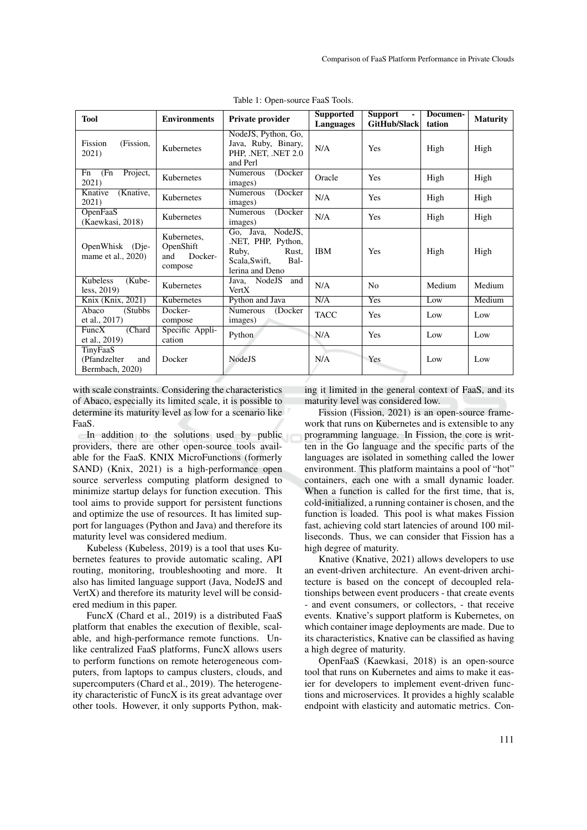| <b>Tool</b>                                        | <b>Environments</b>                                   | Private provider                                                                                         | <b>Supported</b><br>Languages | <b>Support</b><br><b>GitHub/Slack</b> | Documen-<br>tation | <b>Maturity</b> |
|----------------------------------------------------|-------------------------------------------------------|----------------------------------------------------------------------------------------------------------|-------------------------------|---------------------------------------|--------------------|-----------------|
| Fission<br>(Fission,<br>2021)                      | Kubernetes                                            | NodeJS, Python, Go,<br>Java, Ruby, Binary,<br>PHP, .NET, .NET 2.0<br>and Perl                            | N/A                           | <b>Yes</b>                            | High               | High            |
| Project,<br>Fn<br>(Fn<br>2021)                     | Kubernetes                                            | (Docker)<br>Numerous<br>images)                                                                          | Oracle                        | <b>Yes</b>                            | High               | High            |
| Knative<br>(Knative,<br>2021)                      | Kubernetes                                            | <b>Numerous</b><br>(Docker)<br>images)                                                                   | N/A                           | Yes                                   | High               | High            |
| OpenFaaS<br>(Kaewkasi, 2018)                       | Kubernetes                                            | <b>Numerous</b><br>(Docker)<br>images)                                                                   | N/A                           | Yes                                   | High               | High            |
| OpenWhisk (Die-<br>mame et al., 2020)              | Kubernetes.<br>OpenShift<br>Docker-<br>and<br>compose | NodeJS.<br>Go, Java,<br>.NET, PHP, Python,<br>Ruby,<br>Rust,<br>Bal-<br>Scala, Swift,<br>lerina and Deno | <b>IBM</b>                    | Yes                                   | High               | High            |
| Kubeless<br>(Kube-<br>less, $2019$                 | Kubernetes                                            | NodeJS<br>and<br>Java,<br>VertX                                                                          | N/A                           | N <sub>0</sub>                        | Medium             | Medium          |
| Knix (Knix, 2021)                                  | Kubernetes                                            | Python and Java                                                                                          | N/A                           | Yes                                   | Low                | Medium          |
| Abaco<br>(Stubbs)<br>et al., 2017)                 | Docker-<br>compose                                    | Numerous<br>(Docker)<br>images)                                                                          | <b>TACC</b>                   | <b>Yes</b>                            | Low                | Low             |
| (Chard<br>FuncX<br>et al., 2019)                   | Specific Appli-<br>cation                             | Python                                                                                                   | N/A                           | <b>Yes</b>                            | Low                | Low             |
| TinyFaaS<br>(Pfandzelter<br>and<br>Bermbach, 2020) | Docker                                                | Node <sub>JS</sub>                                                                                       | N/A                           | Yes                                   | Low                | Low             |

Table 1: Open-source FaaS Tools.

with scale constraints. Considering the characteristics of Abaco, especially its limited scale, it is possible to determine its maturity level as low for a scenario like FaaS.

In addition to the solutions used by public providers, there are other open-source tools available for the FaaS. KNIX MicroFunctions (formerly SAND) (Knix, 2021) is a high-performance open source serverless computing platform designed to minimize startup delays for function execution. This tool aims to provide support for persistent functions and optimize the use of resources. It has limited support for languages (Python and Java) and therefore its maturity level was considered medium.

Kubeless (Kubeless, 2019) is a tool that uses Kubernetes features to provide automatic scaling, API routing, monitoring, troubleshooting and more. It also has limited language support (Java, NodeJS and VertX) and therefore its maturity level will be considered medium in this paper.

FuncX (Chard et al., 2019) is a distributed FaaS platform that enables the execution of flexible, scalable, and high-performance remote functions. Unlike centralized FaaS platforms, FuncX allows users to perform functions on remote heterogeneous computers, from laptops to campus clusters, clouds, and supercomputers (Chard et al., 2019). The heterogeneity characteristic of FuncX is its great advantage over other tools. However, it only supports Python, making it limited in the general context of FaaS, and its maturity level was considered low.

Fission (Fission, 2021) is an open-source framework that runs on Kubernetes and is extensible to any programming language. In Fission, the core is written in the Go language and the specific parts of the languages are isolated in something called the lower environment. This platform maintains a pool of "hot" containers, each one with a small dynamic loader. When a function is called for the first time, that is, cold-initialized, a running container is chosen, and the function is loaded. This pool is what makes Fission fast, achieving cold start latencies of around 100 milliseconds. Thus, we can consider that Fission has a high degree of maturity.

Knative (Knative, 2021) allows developers to use an event-driven architecture. An event-driven architecture is based on the concept of decoupled relationships between event producers - that create events - and event consumers, or collectors, - that receive events. Knative's support platform is Kubernetes, on which container image deployments are made. Due to its characteristics, Knative can be classified as having a high degree of maturity.

OpenFaaS (Kaewkasi, 2018) is an open-source tool that runs on Kubernetes and aims to make it easier for developers to implement event-driven functions and microservices. It provides a highly scalable endpoint with elasticity and automatic metrics. Con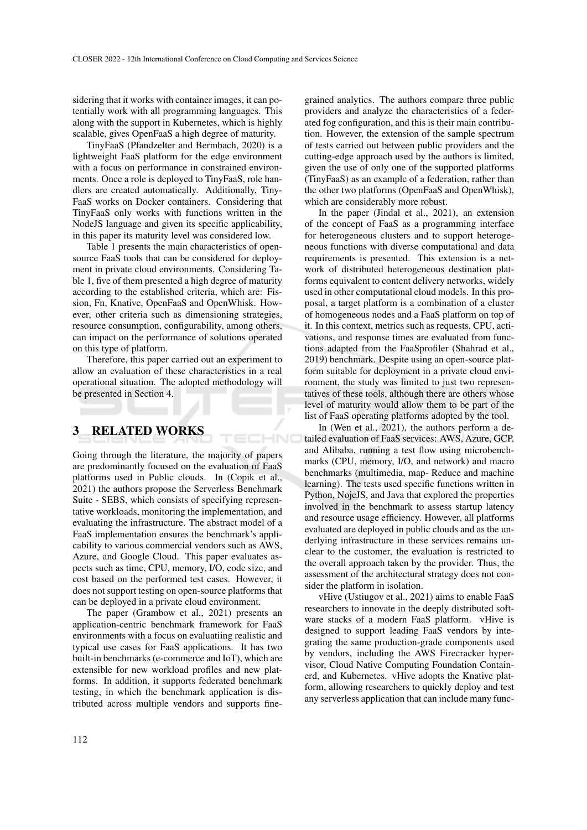sidering that it works with container images, it can potentially work with all programming languages. This along with the support in Kubernetes, which is highly scalable, gives OpenFaaS a high degree of maturity.

TinyFaaS (Pfandzelter and Bermbach, 2020) is a lightweight FaaS platform for the edge environment with a focus on performance in constrained environments. Once a role is deployed to TinyFaaS, role handlers are created automatically. Additionally, Tiny-FaaS works on Docker containers. Considering that TinyFaaS only works with functions written in the NodeJS language and given its specific applicability, in this paper its maturity level was considered low.

Table 1 presents the main characteristics of opensource FaaS tools that can be considered for deployment in private cloud environments. Considering Table 1, five of them presented a high degree of maturity according to the established criteria, which are: Fission, Fn, Knative, OpenFaaS and OpenWhisk. However, other criteria such as dimensioning strategies, resource consumption, configurability, among others, can impact on the performance of solutions operated on this type of platform.

Therefore, this paper carried out an experiment to allow an evaluation of these characteristics in a real operational situation. The adopted methodology will be presented in Section 4.

IHNO

# 3 RELATED WORKS

Going through the literature, the majority of papers are predominantly focused on the evaluation of FaaS platforms used in Public clouds. In (Copik et al., 2021) the authors propose the Serverless Benchmark Suite - SEBS, which consists of specifying representative workloads, monitoring the implementation, and evaluating the infrastructure. The abstract model of a FaaS implementation ensures the benchmark's applicability to various commercial vendors such as AWS, Azure, and Google Cloud. This paper evaluates aspects such as time, CPU, memory, I/O, code size, and cost based on the performed test cases. However, it does not support testing on open-source platforms that can be deployed in a private cloud environment.

The paper (Grambow et al., 2021) presents an application-centric benchmark framework for FaaS environments with a focus on evaluatiing realistic and typical use cases for FaaS applications. It has two built-in benchmarks (e-commerce and IoT), which are extensible for new workload profiles and new platforms. In addition, it supports federated benchmark testing, in which the benchmark application is distributed across multiple vendors and supports fine-

grained analytics. The authors compare three public providers and analyze the characteristics of a federated fog configuration, and this is their main contribution. However, the extension of the sample spectrum of tests carried out between public providers and the cutting-edge approach used by the authors is limited, given the use of only one of the supported platforms (TinyFaaS) as an example of a federation, rather than the other two platforms (OpenFaaS and OpenWhisk), which are considerably more robust.

In the paper (Jindal et al., 2021), an extension of the concept of FaaS as a programming interface for heterogeneous clusters and to support heterogeneous functions with diverse computational and data requirements is presented. This extension is a network of distributed heterogeneous destination platforms equivalent to content delivery networks, widely used in other computational cloud models. In this proposal, a target platform is a combination of a cluster of homogeneous nodes and a FaaS platform on top of it. In this context, metrics such as requests, CPU, activations, and response times are evaluated from functions adapted from the FaaSprofiler (Shahrad et al., 2019) benchmark. Despite using an open-source platform suitable for deployment in a private cloud environment, the study was limited to just two representatives of these tools, although there are others whose level of maturity would allow them to be part of the list of FaaS operating platforms adopted by the tool.

In (Wen et al., 2021), the authors perform a detailed evaluation of FaaS services: AWS, Azure, GCP, and Alibaba, running a test flow using microbenchmarks (CPU, memory, I/O, and network) and macro benchmarks (multimedia, map- Reduce and machine learning). The tests used specific functions written in Python, NojeJS, and Java that explored the properties involved in the benchmark to assess startup latency and resource usage efficiency. However, all platforms evaluated are deployed in public clouds and as the underlying infrastructure in these services remains unclear to the customer, the evaluation is restricted to the overall approach taken by the provider. Thus, the assessment of the architectural strategy does not consider the platform in isolation.

vHive (Ustiugov et al., 2021) aims to enable FaaS researchers to innovate in the deeply distributed software stacks of a modern FaaS platform. vHive is designed to support leading FaaS vendors by integrating the same production-grade components used by vendors, including the AWS Firecracker hypervisor, Cloud Native Computing Foundation Containerd, and Kubernetes. vHive adopts the Knative platform, allowing researchers to quickly deploy and test any serverless application that can include many func-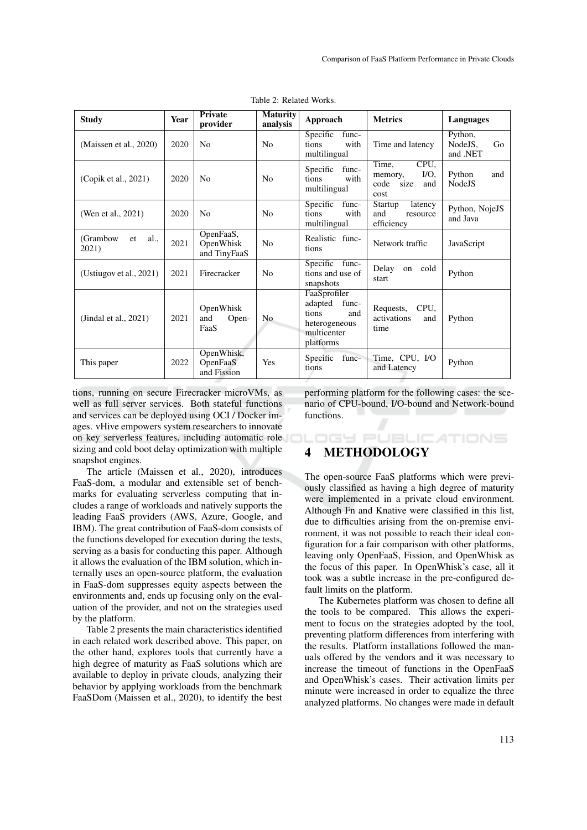| <b>Study</b>                     | Year | <b>Private</b><br>provider             | <b>Maturity</b><br>analysis | Approach                                                                                      | <b>Metrics</b>                                                     | Languages                            |
|----------------------------------|------|----------------------------------------|-----------------------------|-----------------------------------------------------------------------------------------------|--------------------------------------------------------------------|--------------------------------------|
| (Maissen et al., 2020)           | 2020 | N <sub>0</sub>                         | N <sub>0</sub>              | Specific<br>func-<br>tions<br>with<br>multilingual                                            | Time and latency                                                   | Python,<br>NodeJS,<br>Go<br>and .NET |
| (Copik et al., 2021)             | 2020 | N <sub>0</sub>                         | N <sub>o</sub>              | Specific<br>func-<br>tions<br>with<br>multilingual                                            | CPU.<br>Time,<br>$I/O$ .<br>memory,<br>code<br>size<br>and<br>cost | Python<br>and<br><b>NodeJS</b>       |
| (Wen et al., 2021)               | 2020 | N <sub>0</sub>                         | N <sub>0</sub>              | Specific<br>func-<br>tions<br>with<br>multilingual                                            | Startup<br><b>Tatency</b><br>and<br>resource<br>efficiency         | Python, NojeJS<br>and Java           |
| (Grambow)<br>al.,<br>et<br>2021) | 2021 | OpenFaaS,<br>OpenWhisk<br>and TinyFaaS | No                          | Realistic func-<br>tions                                                                      | Network traffic                                                    | JavaScript                           |
| (Ustiugov et al., $2021$ )       | 2021 | Firecracker                            | N <sub>0</sub>              | Specific func-<br>tions and use of<br>snapshots                                               | Delay<br>cold<br>on<br>start                                       | Python                               |
| (Jindal et al., $2021$ )         | 2021 | OpenWhisk<br>Open-<br>and<br>FaaS      | N <sub>o</sub>              | FaaSprofiler<br>adapted<br>func-<br>tions<br>and<br>heterogeneous<br>multicenter<br>platforms | CPU,<br>Requests,<br>activations<br>and<br>time                    | Python                               |
| This paper                       | 2022 | OpenWhisk,<br>OpenFaaS<br>and Fission  | Yes                         | func-<br>Specific<br>tions                                                                    | Time, CPU, I/O<br>and Latency                                      | Python                               |

Table 2: Related Works.

tions, running on secure Firecracker microVMs, as well as full server services. Both stateful functions and services can be deployed using OCI / Docker images. vHive empowers system researchers to innovate on key serverless features, including automatic role sizing and cold boot delay optimization with multiple snapshot engines.

The article (Maissen et al., 2020), introduces FaaS-dom, a modular and extensible set of benchmarks for evaluating serverless computing that includes a range of workloads and natively supports the leading FaaS providers (AWS, Azure, Google, and IBM). The great contribution of FaaS-dom consists of the functions developed for execution during the tests, serving as a basis for conducting this paper. Although it allows the evaluation of the IBM solution, which internally uses an open-source platform, the evaluation in FaaS-dom suppresses equity aspects between the environments and, ends up focusing only on the evaluation of the provider, and not on the strategies used by the platform.

Table 2 presents the main characteristics identified in each related work described above. This paper, on the other hand, explores tools that currently have a high degree of maturity as FaaS solutions which are available to deploy in private clouds, analyzing their behavior by applying workloads from the benchmark FaaSDom (Maissen et al., 2020), to identify the best performing platform for the following cases: the scenario of CPU-bound, I/O-bound and Network-bound functions.

**DGY PUBLICATIONS** 

# 4 METHODOLOGY

The open-source FaaS platforms which were previously classified as having a high degree of maturity were implemented in a private cloud environment. Although Fn and Knative were classified in this list, due to difficulties arising from the on-premise environment, it was not possible to reach their ideal configuration for a fair comparison with other platforms, leaving only OpenFaaS, Fission, and OpenWhisk as the focus of this paper. In OpenWhisk's case, all it took was a subtle increase in the pre-configured default limits on the platform.

The Kubernetes platform was chosen to define all the tools to be compared. This allows the experiment to focus on the strategies adopted by the tool, preventing platform differences from interfering with the results. Platform installations followed the manuals offered by the vendors and it was necessary to increase the timeout of functions in the OpenFaaS and OpenWhisk's cases. Their activation limits per minute were increased in order to equalize the three analyzed platforms. No changes were made in default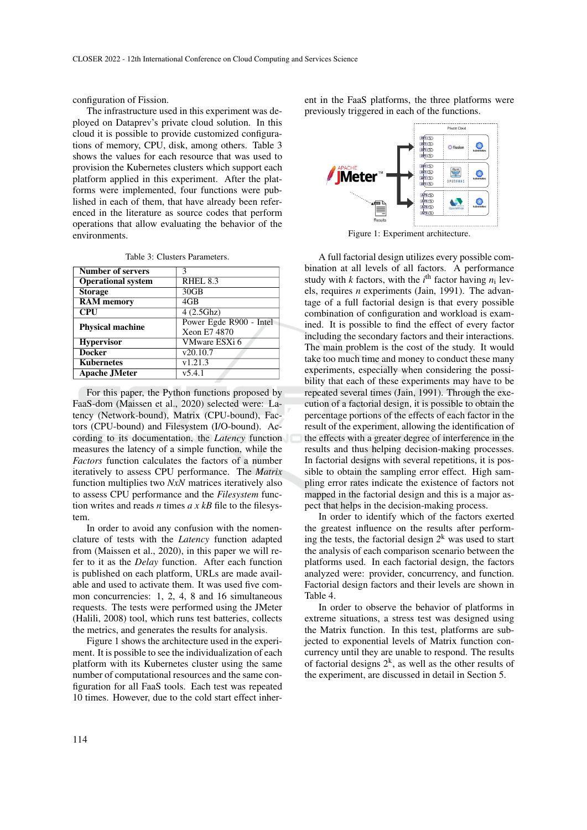configuration of Fission.

The infrastructure used in this experiment was deployed on Dataprev's private cloud solution. In this cloud it is possible to provide customized configurations of memory, CPU, disk, among others. Table 3 shows the values for each resource that was used to provision the Kubernetes clusters which support each platform applied in this experiment. After the platforms were implemented, four functions were published in each of them, that have already been referenced in the literature as source codes that perform operations that allow evaluating the behavior of the environments.

Table 3: Clusters Parameters.

| <b>Number of servers</b>  |                         |
|---------------------------|-------------------------|
| <b>Operational system</b> | $RHEL$ 8.3              |
| <b>Storage</b>            | 30GB                    |
| <b>RAM</b> memory         | 4 <sub>GB</sub>         |
| <b>CPU</b>                | 4(2.5Ghz)               |
| <b>Physical machine</b>   | Power Egde R900 - Intel |
|                           | Xeon E7 4870            |
| <b>Hypervisor</b>         | VMware ESXi 6           |
| <b>Docker</b>             | v20.10.7                |
| <b>Kubernetes</b>         | v1.21.3                 |
| Apache JMeter             | v5.4.1                  |

For this paper, the Python functions proposed by FaaS-dom (Maissen et al., 2020) selected were: Latency (Network-bound), Matrix (CPU-bound), Factors (CPU-bound) and Filesystem (I/O-bound). According to its documentation, the *Latency* function measures the latency of a simple function, while the *Factors* function calculates the factors of a number iteratively to assess CPU performance. The *Matrix* function multiplies two *NxN* matrices iteratively also to assess CPU performance and the *Filesystem* function writes and reads *n* times *a x kB* file to the filesystem.

In order to avoid any confusion with the nomenclature of tests with the *Latency* function adapted from (Maissen et al., 2020), in this paper we will refer to it as the *Delay* function. After each function is published on each platform, URLs are made available and used to activate them. It was used five common concurrencies: 1, 2, 4, 8 and 16 simultaneous requests. The tests were performed using the JMeter (Halili, 2008) tool, which runs test batteries, collects the metrics, and generates the results for analysis.

Figure 1 shows the architecture used in the experiment. It is possible to see the individualization of each platform with its Kubernetes cluster using the same number of computational resources and the same configuration for all FaaS tools. Each test was repeated 10 times. However, due to the cold start effect inherent in the FaaS platforms, the three platforms were previously triggered in each of the functions.



Figure 1: Experiment architecture.

A full factorial design utilizes every possible combination at all levels of all factors. A performance study with *k* factors, with the  $i^{\text{th}}$  factor having  $n_i$  levels, requires *n* experiments (Jain, 1991). The advantage of a full factorial design is that every possible combination of configuration and workload is examined. It is possible to find the effect of every factor including the secondary factors and their interactions. The main problem is the cost of the study. It would take too much time and money to conduct these many experiments, especially when considering the possibility that each of these experiments may have to be repeated several times (Jain, 1991). Through the execution of a factorial design, it is possible to obtain the percentage portions of the effects of each factor in the result of the experiment, allowing the identification of the effects with a greater degree of interference in the results and thus helping decision-making processes. In factorial designs with several repetitions, it is possible to obtain the sampling error effect. High sampling error rates indicate the existence of factors not mapped in the factorial design and this is a major aspect that helps in the decision-making process.

In order to identify which of the factors exerted the greatest influence on the results after performing the tests, the factorial design *2* <sup>k</sup> was used to start the analysis of each comparison scenario between the platforms used. In each factorial design, the factors analyzed were: provider, concurrency, and function. Factorial design factors and their levels are shown in Table 4.

In order to observe the behavior of platforms in extreme situations, a stress test was designed using the Matrix function. In this test, platforms are subjected to exponential levels of Matrix function concurrency until they are unable to respond. The results of factorial designs  $2^k$ , as well as the other results of the experiment, are discussed in detail in Section 5.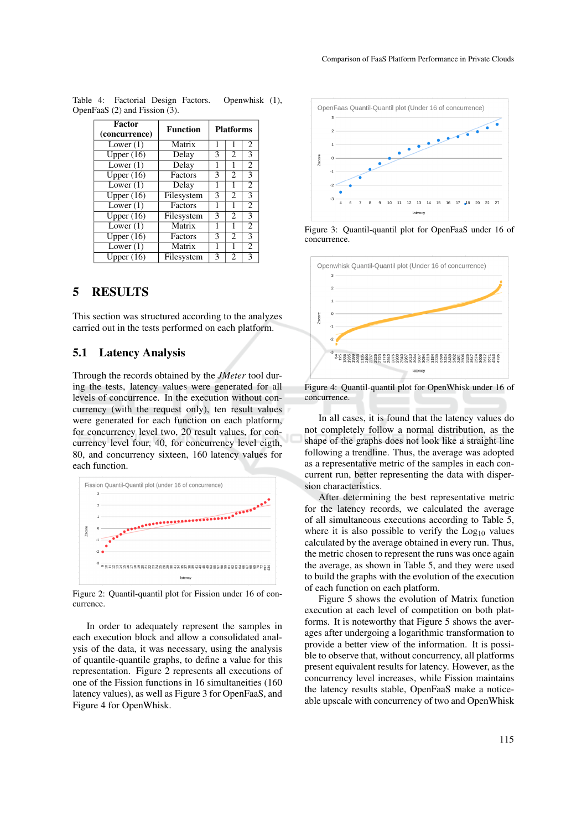| <b>Factor</b><br>(concurrence) | <b>Function</b> | <b>Platforms</b>                      |                |                |  |
|--------------------------------|-----------------|---------------------------------------|----------------|----------------|--|
| Lower $(1)$                    | Matrix          | 1                                     |                | $\overline{c}$ |  |
| Upper (16)                     | Delay           | 3                                     | $\overline{c}$ | 3              |  |
| Lower $(1)$                    | Delay           | 1<br>1                                |                | $\overline{2}$ |  |
| Upper $(16)$                   | Factors         | 3<br>2<br>3                           |                |                |  |
| Lower $(1)$                    | Delay           | 1                                     |                | $\overline{2}$ |  |
| Upper $(16)$                   | Filesystem      | 3                                     | 2              | 3              |  |
| Lower $(1)$                    | Factors         | 1                                     | 1              | $\overline{2}$ |  |
| Upper $(16)$                   | Filesystem      | 3<br>3<br>$\mathcal{D}_{\mathcal{L}}$ |                |                |  |
| Lower $(1)$                    | Matrix          | $\overline{c}$<br>1                   |                |                |  |
| $\overline{\text{Upper (16)}}$ | Factors         | 3                                     | $\overline{c}$ | 3              |  |
| Lower $(1)$                    | Matrix<br>1     |                                       | $\overline{2}$ |                |  |
| Upper $(16)$                   | Filesystem      | 3<br>3<br>$\mathfrak{D}$              |                |                |  |

Table 4: Factorial Design Factors. Openwhisk (1), OpenFaaS (2) and Fission (3).

# 5 RESULTS

This section was structured according to the analyzes carried out in the tests performed on each platform.

### 5.1 Latency Analysis

Through the records obtained by the *JMeter* tool during the tests, latency values were generated for all levels of concurrence. In the execution without concurrency (with the request only), ten result values were generated for each function on each platform, for concurrency level two, 20 result values, for concurrency level four, 40, for concurrency level eigth, 80, and concurrency sixteen, 160 latency values for each function.



Figure 2: Quantil-quantil plot for Fission under 16 of concurrence.

In order to adequately represent the samples in each execution block and allow a consolidated analysis of the data, it was necessary, using the analysis of quantile-quantile graphs, to define a value for this representation. Figure 2 represents all executions of one of the Fission functions in 16 simultaneities (160 latency values), as well as Figure 3 for OpenFaaS, and Figure 4 for OpenWhisk.



Figure 3: Quantil-quantil plot for OpenFaaS under 16 of concurrence.



Figure 4: Quantil-quantil plot for OpenWhisk under 16 of concurrence.

In all cases, it is found that the latency values do not completely follow a normal distribution, as the shape of the graphs does not look like a straight line following a trendline. Thus, the average was adopted as a representative metric of the samples in each concurrent run, better representing the data with dispersion characteristics.

After determining the best representative metric for the latency records, we calculated the average of all simultaneous executions according to Table 5, where it is also possible to verify the  $Log<sub>10</sub>$  values calculated by the average obtained in every run. Thus, the metric chosen to represent the runs was once again the average, as shown in Table 5, and they were used to build the graphs with the evolution of the execution of each function on each platform.

Figure 5 shows the evolution of Matrix function execution at each level of competition on both platforms. It is noteworthy that Figure 5 shows the averages after undergoing a logarithmic transformation to provide a better view of the information. It is possible to observe that, without concurrency, all platforms present equivalent results for latency. However, as the concurrency level increases, while Fission maintains the latency results stable, OpenFaaS make a noticeable upscale with concurrency of two and OpenWhisk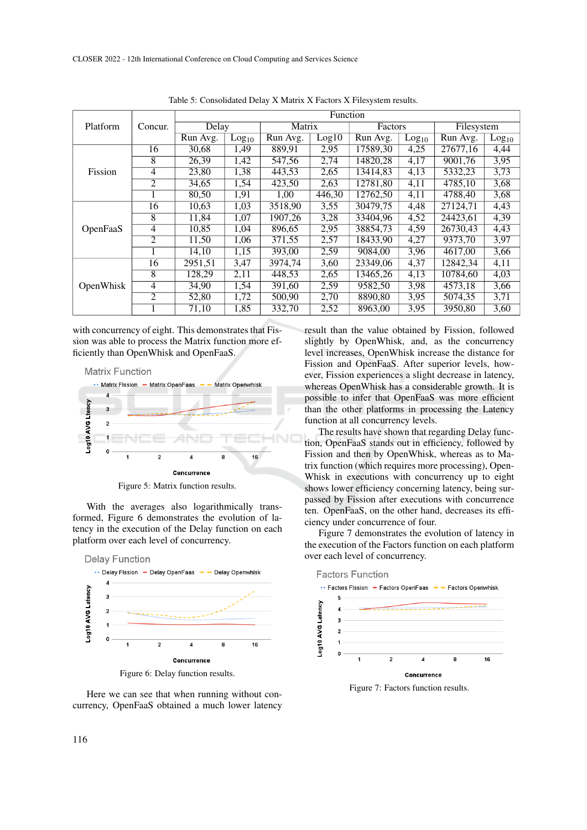|                 | Concur.        | Function |                   |          |        |                       |                   |            |                   |
|-----------------|----------------|----------|-------------------|----------|--------|-----------------------|-------------------|------------|-------------------|
| Platform        |                | Delay    |                   | Matrix   |        | Factors               |                   | Filesystem |                   |
|                 |                | Run Avg. | Log <sub>10</sub> | Run Avg. | Log10  | Run Avg.              | Log <sub>10</sub> | Run Avg.   | Log <sub>10</sub> |
|                 | 16             | 30,68    | 1,49              | 889,91   | 2,95   | 17589,30              | 4,25              | 27677,16   | 4,44              |
|                 | 8              | 26,39    | 1,42              | 547,56   | 2,74   | 14820,28              | 4,17              | 9001,76    | 3,95              |
| Fission         | 4              | 23,80    | 1,38              | 443,53   | 2,65   | 13414.83              | 4,13              | 5332,23    | 3,73              |
|                 | $\overline{2}$ | 34,65    | 1,54              | 423,50   | 2,63   | 12781,80              | 4,11              | 4785,10    | 3,68              |
|                 |                | 80,50    | 1,91              | 1,00     | 446,30 | 12762,50              | 4,11              | 4788,40    | 3,68              |
|                 | 16             | 10,63    | 1,03              | 3518,90  | 3,55   | 30479.75              | 4,48              | 27124.71   | 4,43              |
|                 | 8              | 11,84    | 1,07              | 1907,26  | 3,28   | 33404.96              | 4,52              | 24423.61   | 4,39              |
| <b>OpenFaaS</b> | 4              | 10,85    | 1,04              | 896,65   | 2,95   | 38854,73              | 4,59              | 26730,43   | 4,43              |
|                 | $\overline{2}$ | 11,50    | 1,06              | 371,55   | 2,57   | 18433,90              | 4,27              | 9373,70    | 3,97              |
|                 |                | 14,10    | 1,15              | 393,00   | 2,59   | 9084,00               | 3,96              | 4617,00    | 3,66              |
| OpenWhisk       | 16             | 2951,51  | 3,47              | 3974,74  | 3,60   | $\overline{23349,06}$ | 4,37              | 12842,34   | 4,11              |
|                 | 8              | 128,29   | 2,11              | 448,53   | 2,65   | 13465.26              | 4,13              | 10784,60   | 4,03              |
|                 | 4              | 34,90    | 1,54              | 391,60   | 2,59   | 9582,50               | 3,98              | 4573,18    | 3,66              |
|                 | 2              | 52,80    | 1,72              | 500,90   | 2,70   | 8890,80               | 3,95              | 5074,35    | 3,71              |
|                 |                | 71,10    | 1,85              | 332,70   | 2,52   | 8963,00               | 3,95              | 3950,80    | 3,60              |

Table 5: Consolidated Delay X Matrix X Factors X Filesystem results.

with concurrency of eight. This demonstrates that Fission was able to process the Matrix function more efficiently than OpenWhisk and OpenFaaS.



Figure 5: Matrix function results.

With the averages also logarithmically transformed, Figure 6 demonstrates the evolution of latency in the execution of the Delay function on each platform over each level of concurrency.



Here we can see that when running without concurrency, OpenFaaS obtained a much lower latency result than the value obtained by Fission, followed slightly by OpenWhisk, and, as the concurrency level increases, OpenWhisk increase the distance for Fission and OpenFaaS. After superior levels, however, Fission experiences a slight decrease in latency, whereas OpenWhisk has a considerable growth. It is possible to infer that OpenFaaS was more efficient than the other platforms in processing the Latency function at all concurrency levels.

The results have shown that regarding Delay function, OpenFaaS stands out in efficiency, followed by Fission and then by OpenWhisk, whereas as to Matrix function (which requires more processing), Open-Whisk in executions with concurrency up to eight shows lower efficiency concerning latency, being surpassed by Fission after executions with concurrence ten. OpenFaaS, on the other hand, decreases its efficiency under concurrence of four.

Figure 7 demonstrates the evolution of latency in the execution of the Factors function on each platform over each level of concurrency.

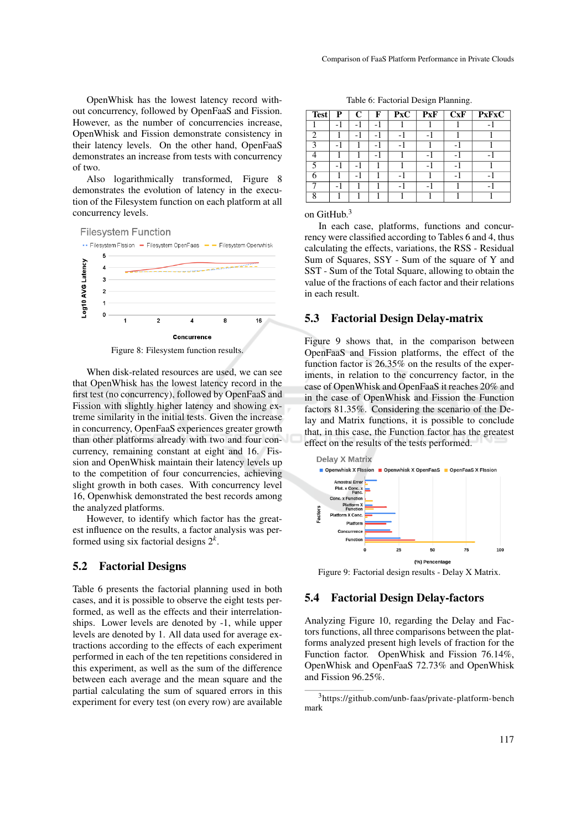OpenWhisk has the lowest latency record without concurrency, followed by OpenFaaS and Fission. However, as the number of concurrencies increase, OpenWhisk and Fission demonstrate consistency in their latency levels. On the other hand, OpenFaaS demonstrates an increase from tests with concurrency of two.

Also logarithmically transformed, Figure 8 demonstrates the evolution of latency in the execution of the Filesystem function on each platform at all concurrency levels.



Figure 8: Filesystem function results.

When disk-related resources are used, we can see that OpenWhisk has the lowest latency record in the first test (no concurrency), followed by OpenFaaS and Fission with slightly higher latency and showing extreme similarity in the initial tests. Given the increase in concurrency, OpenFaaS experiences greater growth than other platforms already with two and four concurrency, remaining constant at eight and 16. Fission and OpenWhisk maintain their latency levels up to the competition of four concurrencies, achieving slight growth in both cases. With concurrency level 16, Openwhisk demonstrated the best records among the analyzed platforms.

However, to identify which factor has the greatest influence on the results, a factor analysis was performed using six factorial designs 2*<sup>k</sup>* .

#### 5.2 Factorial Designs

Table 6 presents the factorial planning used in both cases, and it is possible to observe the eight tests performed, as well as the effects and their interrelationships. Lower levels are denoted by -1, while upper levels are denoted by 1. All data used for average extractions according to the effects of each experiment performed in each of the ten repetitions considered in this experiment, as well as the sum of the difference between each average and the mean square and the partial calculating the sum of squared errors in this experiment for every test (on every row) are available

|  | Table 6: Factorial Design Planning. |
|--|-------------------------------------|
|--|-------------------------------------|

| <b>Test</b> | P                        | $\mathbf C$              | F   | $\mathbf{P}\mathbf{x}\mathbf{C}$ | <b>PxF</b>               | $\overline{\bf CxF}$     | <b>PxFxC</b> |
|-------------|--------------------------|--------------------------|-----|----------------------------------|--------------------------|--------------------------|--------------|
|             | $-1$                     | -1                       | - 1 |                                  |                          |                          |              |
| ി           |                          | $\overline{\phantom{0}}$ |     |                                  | $\overline{\phantom{0}}$ |                          |              |
| 3           | - 1                      |                          | - 1 |                                  |                          |                          |              |
|             |                          |                          | - 1 |                                  | $\overline{\phantom{a}}$ | $\overline{\phantom{a}}$ |              |
|             | - 1                      | $-1$                     |     |                                  | $\overline{\phantom{0}}$ |                          |              |
|             |                          | -1                       |     | - 1                              |                          | $\overline{a}$           |              |
|             | $\overline{\phantom{0}}$ |                          |     |                                  | $\overline{\phantom{0}}$ |                          |              |
| o           |                          |                          |     |                                  |                          |                          |              |

on GitHub.<sup>3</sup>

In each case, platforms, functions and concurrency were classified according to Tables 6 and 4, thus calculating the effects, variations, the RSS - Residual Sum of Squares, SSY - Sum of the square of Y and SST - Sum of the Total Square, allowing to obtain the value of the fractions of each factor and their relations in each result.

#### 5.3 Factorial Design Delay-matrix

Figure 9 shows that, in the comparison between OpenFaaS and Fission platforms, the effect of the function factor is 26.35% on the results of the experiments, in relation to the concurrency factor, in the case of OpenWhisk and OpenFaaS it reaches 20% and in the case of OpenWhisk and Fission the Function factors 81.35%. Considering the scenario of the Delay and Matrix functions, it is possible to conclude that, in this case, the Function factor has the greatest effect on the results of the tests performed.



Figure 9: Factorial design results - Delay X Matrix.

## 5.4 Factorial Design Delay-factors

Analyzing Figure 10, regarding the Delay and Factors functions, all three comparisons between the platforms analyzed present high levels of fraction for the Function factor. OpenWhisk and Fission 76.14%, OpenWhisk and OpenFaaS 72.73% and OpenWhisk and Fission 96.25%.

<sup>3</sup>https://github.com/unb-faas/private-platform-bench mark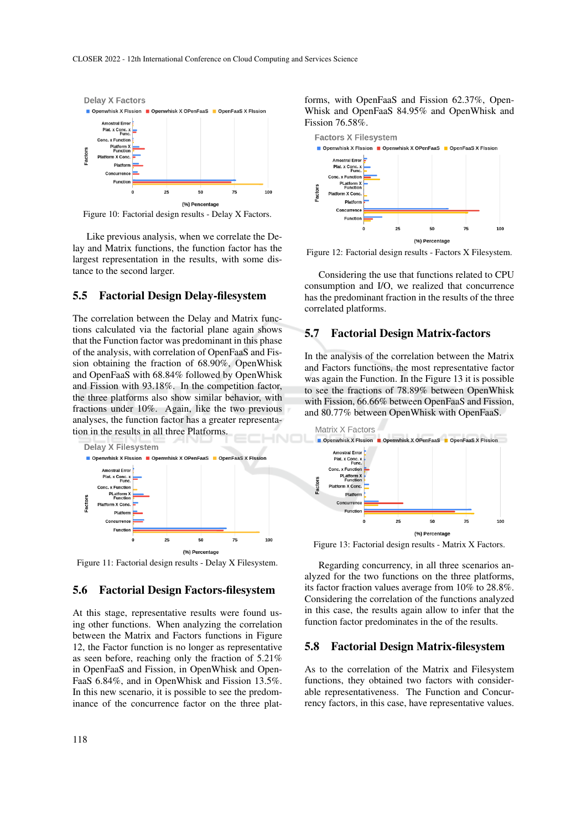

Figure 10: Factorial design results - Delay X Factors.

Like previous analysis, when we correlate the Delay and Matrix functions, the function factor has the largest representation in the results, with some distance to the second larger.

## 5.5 Factorial Design Delay-filesystem

The correlation between the Delay and Matrix functions calculated via the factorial plane again shows that the Function factor was predominant in this phase of the analysis, with correlation of OpenFaaS and Fission obtaining the fraction of 68.90%, OpenWhisk and OpenFaaS with 68.84% followed by OpenWhisk and Fission with 93.18%. In the competition factor, the three platforms also show similar behavior, with fractions under 10%. Again, like the two previous analyses, the function factor has a greater representation in the results in all three Platforms.



Figure 11: Factorial design results - Delay X Filesystem.

## 5.6 Factorial Design Factors-filesystem

At this stage, representative results were found using other functions. When analyzing the correlation between the Matrix and Factors functions in Figure 12, the Factor function is no longer as representative as seen before, reaching only the fraction of 5.21% in OpenFaaS and Fission, in OpenWhisk and Open-FaaS 6.84%, and in OpenWhisk and Fission 13.5%. In this new scenario, it is possible to see the predominance of the concurrence factor on the three plat-

forms, with OpenFaaS and Fission 62.37%, Open-Whisk and OpenFaaS 84.95% and OpenWhisk and Fission 76.58%.



Figure 12: Factorial design results - Factors X Filesystem.

Considering the use that functions related to CPU consumption and I/O, we realized that concurrence has the predominant fraction in the results of the three correlated platforms.

#### 5.7 Factorial Design Matrix-factors

In the analysis of the correlation between the Matrix and Factors functions, the most representative factor was again the Function. In the Figure 13 it is possible to see the fractions of 78.89% between OpenWhisk with Fission, 66.66% between OpenFaaS and Fission, and 80.77% between OpenWhisk with OpenFaaS.



Figure 13: Factorial design results - Matrix X Factors.

Regarding concurrency, in all three scenarios analyzed for the two functions on the three platforms, its factor fraction values average from 10% to 28.8%. Considering the correlation of the functions analyzed in this case, the results again allow to infer that the function factor predominates in the of the results.

#### 5.8 Factorial Design Matrix-filesystem

As to the correlation of the Matrix and Filesystem functions, they obtained two factors with considerable representativeness. The Function and Concurrency factors, in this case, have representative values.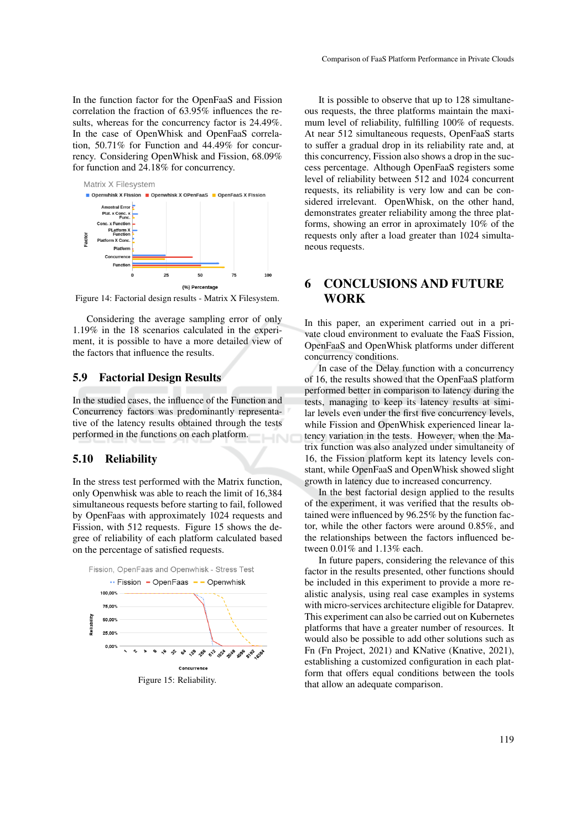In the function factor for the OpenFaaS and Fission correlation the fraction of 63.95% influences the results, whereas for the concurrency factor is 24.49%. In the case of OpenWhisk and OpenFaaS correlation, 50.71% for Function and 44.49% for concurrency. Considering OpenWhisk and Fission, 68.09% for function and 24.18% for concurrency.



Figure 14: Factorial design results - Matrix X Filesystem.

Considering the average sampling error of only 1.19% in the 18 scenarios calculated in the experiment, it is possible to have a more detailed view of the factors that influence the results.

## 5.9 Factorial Design Results

In the studied cases, the influence of the Function and Concurrency factors was predominantly representative of the latency results obtained through the tests performed in the functions on each platform.

#### 5.10 Reliability

In the stress test performed with the Matrix function, only Openwhisk was able to reach the limit of 16,384 simultaneous requests before starting to fail, followed by OpenFaas with approximately 1024 requests and Fission, with 512 requests. Figure 15 shows the degree of reliability of each platform calculated based on the percentage of satisfied requests.



It is possible to observe that up to 128 simultaneous requests, the three platforms maintain the maximum level of reliability, fulfilling 100% of requests. At near 512 simultaneous requests, OpenFaaS starts to suffer a gradual drop in its reliability rate and, at this concurrency, Fission also shows a drop in the success percentage. Although OpenFaaS registers some level of reliability between 512 and 1024 concurrent requests, its reliability is very low and can be considered irrelevant. OpenWhisk, on the other hand, demonstrates greater reliability among the three platforms, showing an error in aproximately 10% of the requests only after a load greater than 1024 simultaneous requests.

# 6 CONCLUSIONS AND FUTURE **WORK**

In this paper, an experiment carried out in a private cloud environment to evaluate the FaaS Fission, OpenFaaS and OpenWhisk platforms under different concurrency conditions.

In case of the Delay function with a concurrency of 16, the results showed that the OpenFaaS platform performed better in comparison to latency during the tests, managing to keep its latency results at similar levels even under the first five concurrency levels, while Fission and OpenWhisk experienced linear latency variation in the tests. However, when the Matrix function was also analyzed under simultaneity of 16, the Fission platform kept its latency levels constant, while OpenFaaS and OpenWhisk showed slight growth in latency due to increased concurrency.

In the best factorial design applied to the results of the experiment, it was verified that the results obtained were influenced by 96.25% by the function factor, while the other factors were around 0.85%, and the relationships between the factors influenced between 0.01% and 1.13% each.

In future papers, considering the relevance of this factor in the results presented, other functions should be included in this experiment to provide a more realistic analysis, using real case examples in systems with micro-services architecture eligible for Dataprev. This experiment can also be carried out on Kubernetes platforms that have a greater number of resources. It would also be possible to add other solutions such as Fn (Fn Project, 2021) and KNative (Knative, 2021), establishing a customized configuration in each platform that offers equal conditions between the tools that allow an adequate comparison.